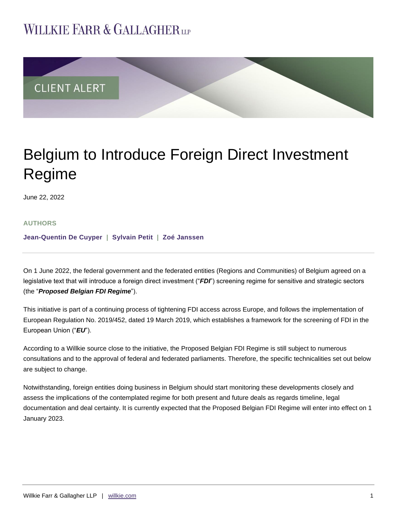# **WILLKIE FARR & GALLAGHERUP**



# Belgium to Introduce Foreign Direct Investment Regime

June 22, 2022

## **AUTHORS**

**[Jean-Quentin De Cuyper](https://www.willkie.com/professionals/d/de-cuyper-jeanquentin) | [Sylvain Petit](https://www.willkie.com/professionals/p/petit-sylvain) | [Zoé Janssen](https://www.willkie.com/professionals/j/janssen-zoe)**

On 1 June 2022, the federal government and the federated entities (Regions and Communities) of Belgium agreed on a legislative text that will introduce a foreign direct investment ("*FDI*") screening regime for sensitive and strategic sectors (the "*Proposed Belgian FDI Regime*").

This initiative is part of a continuing process of tightening FDI access across Europe, and follows the implementation of European Regulation No. 2019/452, dated 19 March 2019, which establishes a framework for the screening of FDI in the European Union ("*EU*").

According to a Willkie source close to the initiative, the Proposed Belgian FDI Regime is still subject to numerous consultations and to the approval of federal and federated parliaments. Therefore, the specific technicalities set out below are subject to change.

Notwithstanding, foreign entities doing business in Belgium should start monitoring these developments closely and assess the implications of the contemplated regime for both present and future deals as regards timeline, legal documentation and deal certainty. It is currently expected that the Proposed Belgian FDI Regime will enter into effect on 1 January 2023.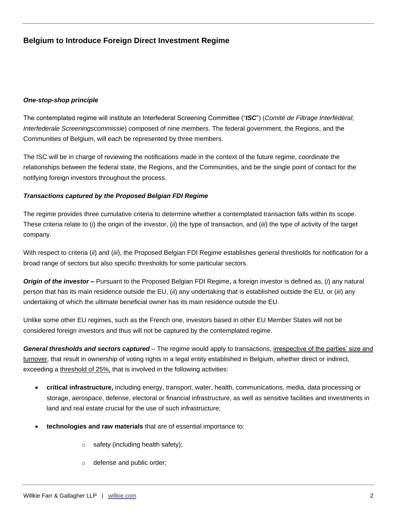#### *One-stop-shop principle*

The contemplated regime will institute an Interfederal Screening Committee ("*ISC*") (*Comité de Filtrage Interfédéral*; *Interfederale Screeningscommissie*) composed of nine members. The federal government, the Regions, and the Communities of Belgium, will each be represented by three members.

The ISC will be in charge of reviewing the notifications made in the context of the future regime, coordinate the relationships between the federal state, the Regions, and the Communities, and be the single point of contact for the notifying foreign investors throughout the process.

## *Transactions captured by the Proposed Belgian FDI Regime*

The regime provides three cumulative criteria to determine whether a contemplated transaction falls within its scope. These criteria relate to (*i*) the origin of the investor, (*ii*) the type of transaction, and (*iii*) the type of activity of the target company.

With respect to criteria (*ii*) and (*iii*), the Proposed Belgian FDI Regime establishes general thresholds for notification for a broad range of sectors but also specific thresholds for some particular sectors.

*Origin of the investor –* Pursuant to the Proposed Belgian FDI Regime, a foreign investor is defined as, (*i*) any natural person that has its main residence outside the EU, (*ii*) any undertaking that is established outside the EU, or (*iii*) any undertaking of which the ultimate beneficial owner has its main residence outside the EU.

Unlike some other EU regimes, such as the French one, investors based in other EU Member States will not be considered foreign investors and thus will not be captured by the contemplated regime.

*General thresholds and sectors captured* – The regime would apply to transactions, irrespective of the parties' size and turnover, that result in ownership of voting rights in a legal entity established in Belgium, whether direct or indirect, exceeding a threshold of 25%, that is involved in the following activities:

- **critical infrastructure,** including energy, transport, water, health, communications, media, data processing or storage, aerospace, defense, electoral or financial infrastructure, as well as sensitive facilities and investments in land and real estate crucial for the use of such infrastructure;
- **technologies and raw materials** that are of essential importance to:
	- o safety (including health safety);
	- o defense and public order;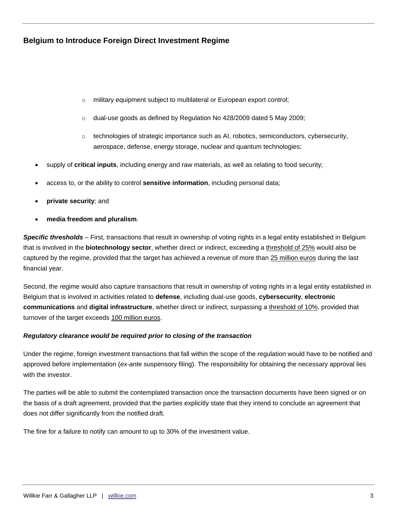- o military equipment subject to multilateral or European export control;
- o dual-use goods as defined by Regulation No 428/2009 dated 5 May 2009;
- $\circ$  technologies of strategic importance such as AI, robotics, semiconductors, cybersecurity, aerospace, defense, energy storage, nuclear and quantum technologies;
- supply of **critical inputs**, including energy and raw materials, as well as relating to food security;
- access to, or the ability to control **sensitive information**, including personal data;
- **private security**; and
- **media freedom and pluralism**.

*Specific thresholds –* First, transactions that result in ownership of voting rights in a legal entity established in Belgium that is involved in the **biotechnology sector**, whether direct or indirect, exceeding a threshold of 25% would also be captured by the regime, provided that the target has achieved a revenue of more than 25 million euros during the last financial year.

Second, the regime would also capture transactions that result in ownership of voting rights in a legal entity established in Belgium that is involved in activities related to **defense**, including dual-use goods, **cybersecurity**, **electronic communications** and **digital infrastructure**, whether direct or indirect, surpassing a threshold of 10%, provided that turnover of the target exceeds 100 million euros.

#### *Regulatory clearance would be required prior to closing of the transaction*

Under the regime, foreign investment transactions that fall within the scope of the regulation would have to be notified and approved before implementation (*ex-ante* suspensory filing). The responsibility for obtaining the necessary approval lies with the investor.

The parties will be able to submit the contemplated transaction once the transaction documents have been signed or on the basis of a draft agreement, provided that the parties explicitly state that they intend to conclude an agreement that does not differ significantly from the notified draft.

The fine for a failure to notify can amount to up to 30% of the investment value.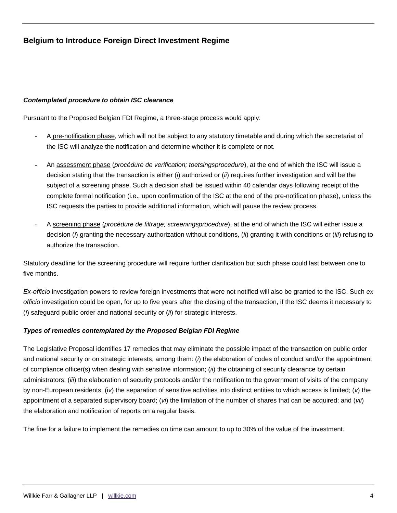## *Contemplated procedure to obtain ISC clearance*

Pursuant to the Proposed Belgian FDI Regime, a three-stage process would apply:

- A pre-notification phase, which will not be subject to any statutory timetable and during which the secretariat of the ISC will analyze the notification and determine whether it is complete or not.
- An assessment phase (*procédure de verification; toetsingsprocedure*), at the end of which the ISC will issue a decision stating that the transaction is either (*i*) authorized or (*ii*) requires further investigation and will be the subject of a screening phase. Such a decision shall be issued within 40 calendar days following receipt of the complete formal notification (i.e., upon confirmation of the ISC at the end of the pre-notification phase), unless the ISC requests the parties to provide additional information, which will pause the review process.
- A screening phase (*procédure de filtrage; screeningsprocedure*), at the end of which the ISC will either issue a decision (*i*) granting the necessary authorization without conditions, (*ii*) granting it with conditions or (*iii*) refusing to authorize the transaction.

Statutory deadline for the screening procedure will require further clarification but such phase could last between one to five months.

*Ex-officio* investigation powers to review foreign investments that were not notified will also be granted to the ISC. Such *ex officio* investigation could be open, for up to five years after the closing of the transaction, if the ISC deems it necessary to (*i*) safeguard public order and national security or (*ii*) for strategic interests.

#### *Types of remedies contemplated by the Proposed Belgian FDI Regime*

The Legislative Proposal identifies 17 remedies that may eliminate the possible impact of the transaction on public order and national security or on strategic interests, among them: (*i*) the elaboration of codes of conduct and/or the appointment of compliance officer(s) when dealing with sensitive information; (*ii*) the obtaining of security clearance by certain administrators; (*iii*) the elaboration of security protocols and/or the notification to the government of visits of the company by non-European residents; (i*v*) the separation of sensitive activities into distinct entities to which access is limited; (*v*) the appointment of a separated supervisory board; (*vi*) the limitation of the number of shares that can be acquired; and (*vii*) the elaboration and notification of reports on a regular basis.

The fine for a failure to implement the remedies on time can amount to up to 30% of the value of the investment.